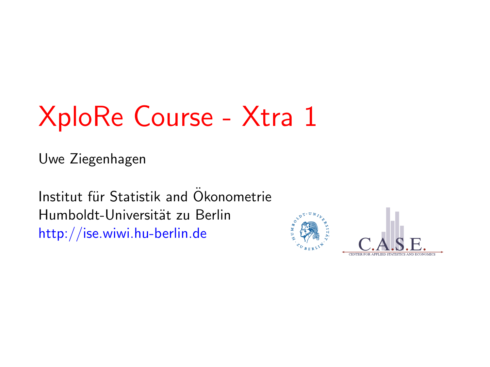# XploRe Course - Xtra 1

Uwe Ziegenhagen

Institut für Statistik and Ökonometrie Humboldt-Universität zu Berlin http://ise.wiwi.hu-berlin.de

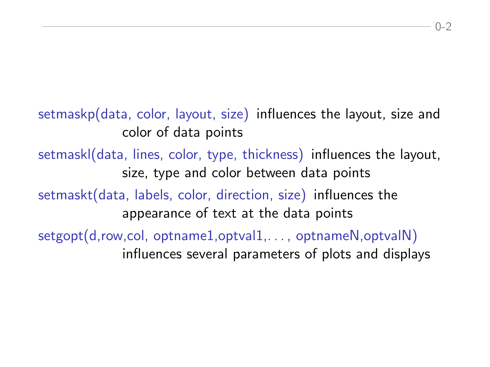setmaskp(data, color, layout, size) influences the layout, size and color of data points

setmaskl(data, lines, color, type, thickness) influences the layout, size, type and color between data points setmaskt(data, labels, color, direction, size) influences the appearance of text at the data points

setgopt(d,row,col, optname1,optval1,..., optnameN,optvalN) influences several parameters of plots and displays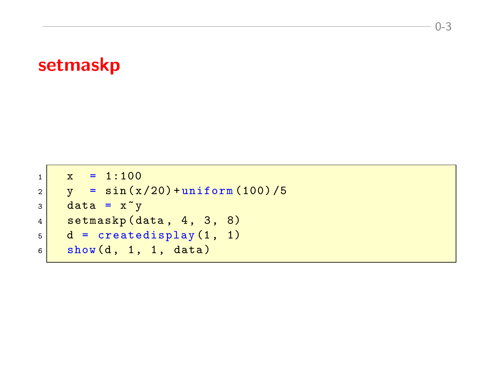```
1 \times = 1:100|2| y = sin(x/20) + uniform(100)/53 data = x^*y4 \mid setmaskp (data, 4, 3, 8)
5 \mid d = \text{createdisplay} (1, 1)6 show (d, 1, 1, data)
```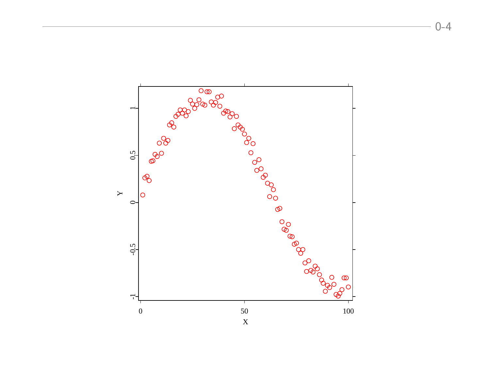

 $0 - 4$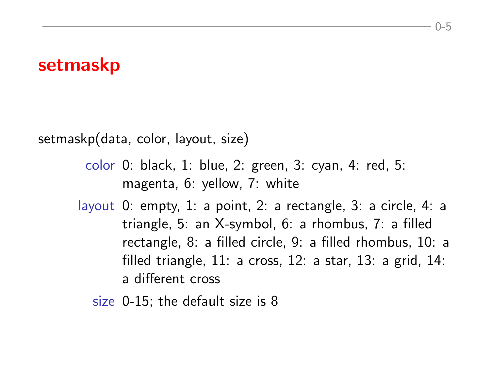setmaskp(data, color, layout, size)

color 0: black, 1: blue, 2: green, 3: cyan, 4: red, 5: magenta, 6: yellow, 7: white

layout 0: empty, 1: a point, 2: a rectangle, 3: a circle, 4: a triangle, 5: an X-symbol, 6: a rhombus, 7: a filled rectangle, 8: a filled circle, 9: a filled rhombus, 10: a filled triangle, 11: a cross, 12: a star, 13: a grid, 14: a different cross

size 0-15; the default size is 8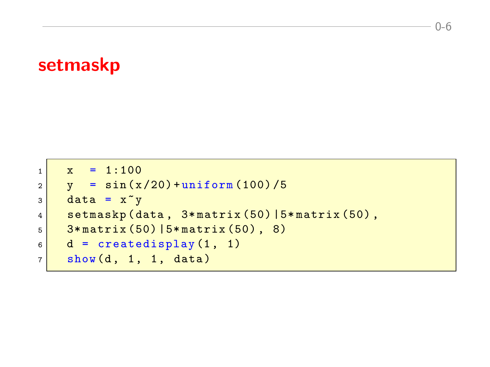```
1 \times = 1:100|z| y = \sin(x/20) + \text{uniform}(100)/53 data = x^{\sim}y4 setmaskp (data , 3* matrix (50) |5* matrix (50) ,
5 3*matrix (50) | 5* matrix (50), 8)
6 d = createdisplay (1, 1)7 show (d, 1, 1, data)
```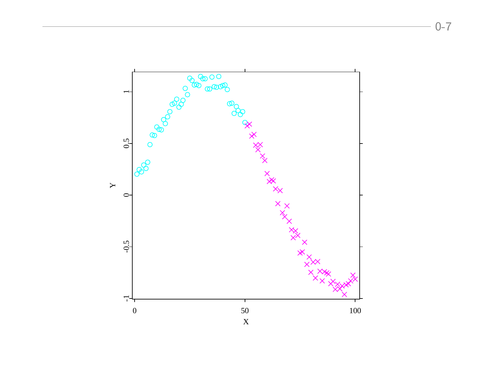

 $0 - 7$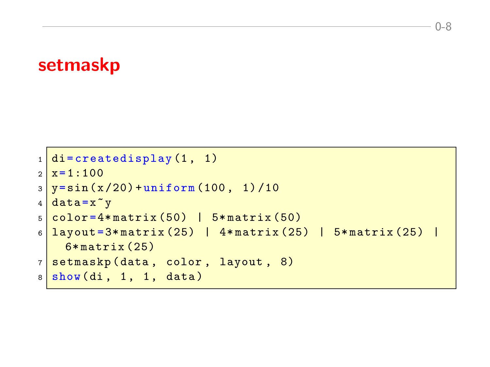```
_1 di= createdisplay (1, 1)2 \times 1:1003 \sqrt{y} = \sin(x/20) + \text{uniform}(100, 1)/104 \, \text{data=x} \text{y}5 \mid \text{color=4*matrix}(50) \mid 5*matrix (50)6 \vert layout=3*matrix (25) | 4*matrix (25) | 5*matrix (25)
    6*matrix(25)7 setmaskp (data, color, layout, 8)
s \midshow (di, 1, 1, data)
```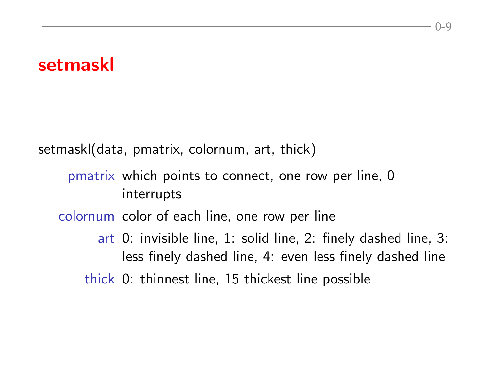## setmaskl

setmaskl(data, pmatrix, colornum, art, thick)

pmatrix which points to connect, one row per line, 0 interrupts

colornum color of each line, one row per line

art 0: invisible line, 1: solid line, 2: finely dashed line, 3: less finely dashed line, 4: even less finely dashed line thick 0: thinnest line, 15 thickest line possible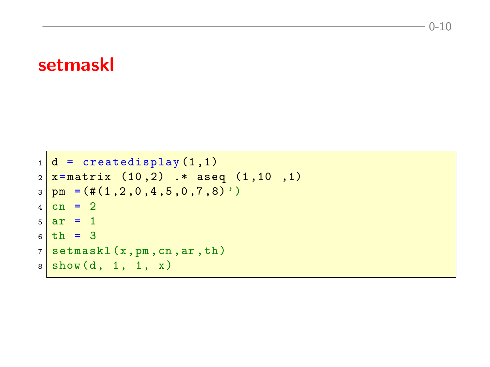# setmaskl

```
1 \mid d = createdisplay (1,1)2 \times 2 \times 10, 2) .* aseq (1, 10, 1)3 \text{pm} = (\text{#}(1, 2, 0, 4, 5, 0, 7, 8))4 \mid cn = 25 \text{ ar} = 16 th = 3
7 \times 7 setmaskl(x,pm,cn,ar,th)\vert show (d, 1, 1, x)
```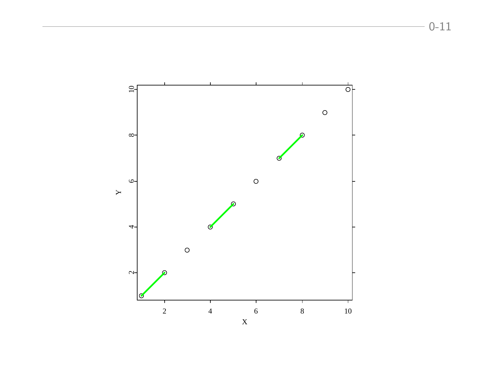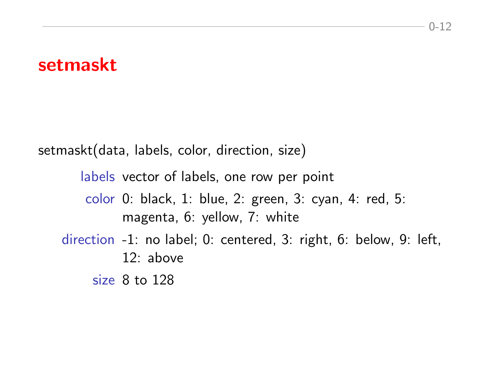setmaskt(data, labels, color, direction, size)

labels vector of labels, one row per point color 0: black, 1: blue, 2: green, 3: cyan, 4: red, 5: magenta, 6: yellow, 7: white direction -1: no label; 0: centered, 3: right, 6: below, 9: left, 12: above size 8 to 128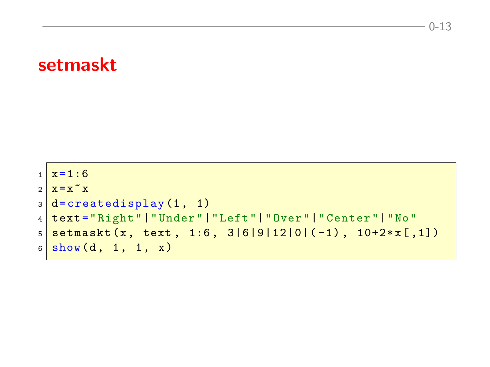```
x = 1:62 \times x = x^23 \mid d= createdisplay (1, 1)4 text =" Right "|" Under "|" Left "|" Over "|" Center "|"No"
5 \times 5 setmaskt (x, text, 1:6, 3|6|9|12|0|(-1), 10+2*x[,1])
6 \mid show(d, 1, 1, x)
```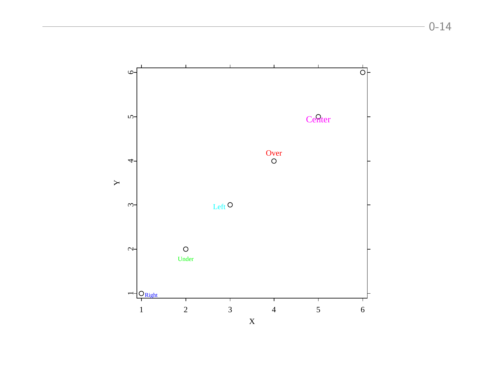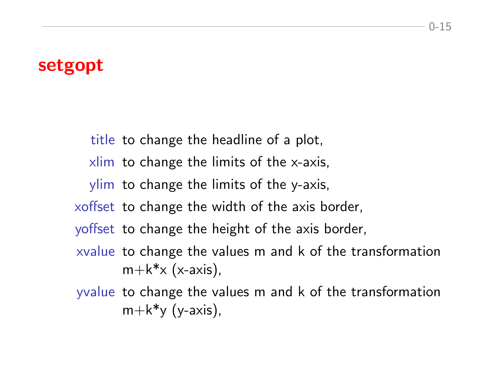# setgopt

title to change the headline of a plot, xlim to change the limits of the x-axis, ylim to change the limits of the y-axis, xoffset to change the width of the axis border, yoffset to change the height of the axis border, xvalue to change the values m and k of the transformation  $m+k*x$  (x-axis),

yvalue to change the values m and k of the transformation  $m+k*y$  (y-axis),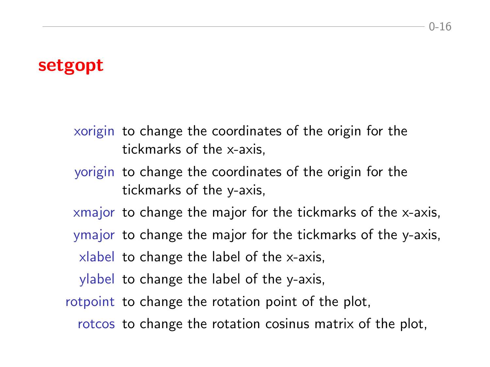# setgopt

- xorigin to change the coordinates of the origin for the tickmarks of the x-axis,
- yorigin to change the coordinates of the origin for the tickmarks of the y-axis,
- xmajor to change the major for the tickmarks of the x-axis,
- ymajor to change the major for the tickmarks of the y-axis,
- xlabel to change the label of the x-axis,
- ylabel to change the label of the y-axis,
- rotpoint to change the rotation point of the plot,
	- rotcos to change the rotation cosinus matrix of the plot,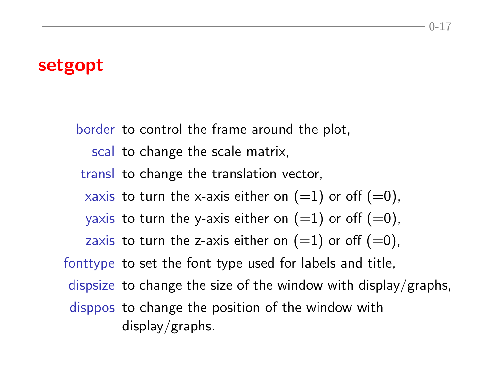#### setgopt

border to control the frame around the plot, scal to change the scale matrix, transl to change the translation vector, xaxis to turn the x-axis either on  $(=1)$  or off  $(=0)$ . yaxis to turn the y-axis either on  $(=1)$  or off  $(=0)$ , zaxis to turn the z-axis either on  $(=1)$  or off  $(=0)$ , fonttype to set the font type used for labels and title, dispsize to change the size of the window with display/graphs, disppos to change the position of the window with display/graphs.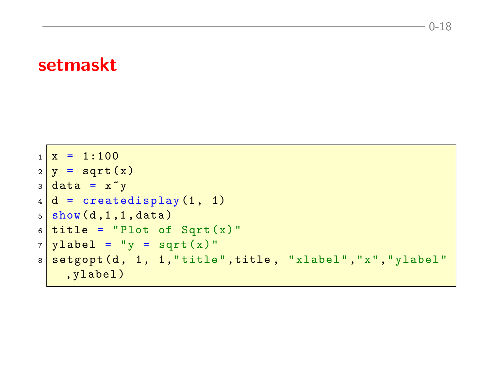```
1 \times = 1:1002 \sqrt{v} = sqrt(x)3 \mid \text{data} = x^{\star}y4 \mid d = \text{createdisplay} (1, 1)5 \, \text{show}(d,1,1,data)6 \mid \text{title} = "Plot of Sqrt(x)"7 \text{ | ylabel = "y = sqrt(x) "}8 setgopt (d, 1, 1, "title", title, "xlabel", "x", "ylabel"
     ,ylabel )
```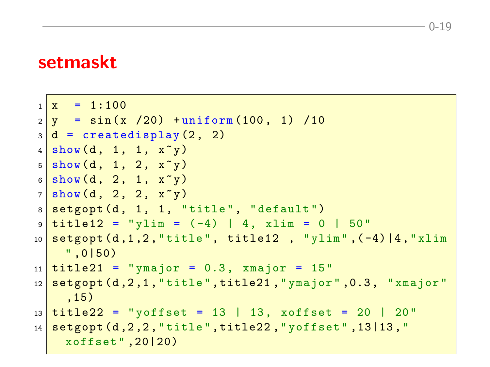```
1 \times = 1:1002 \times 2 \times 7 = \sin(x)/20 + uniform (100, 1) /10
3 \mid d = \text{createdisplay}(2, 2)4 \midshow (d, 1, 1, x^*y)
5 \text{ show} (d, 1, 2, x^{\texttt{T}} y)6 \midshow (d, 2, 1, x^{\sim}y)7 \text{ show} (d, 2, 2, x^{\texttt{-v}})s setgopt (d, 1, 1, "title", "default")9 \mid \text{title12} = " \text{ylim} = (-4) \mid 4, \text{ xlim} = 0 \mid 50"10 setgopt (d, 1, 2, "title", title12, "ville2, "10", (-4) |4," xlim"" ,0|50)
11 title21 = "ymajor = 0.3, xmajor = 15"
12 setgopt (d, 2, 1, "title", title21," ymajor", 0.3, "xmajor",15)
13 \mid \text{title22} = "yoffset = 13 | 13, xoffset = 20 | 20"
14 setgopt (d ,2 ,2 ," title ",title22 ," yoffset " ,13|13 ,"
     xoffset " ,20|20)
```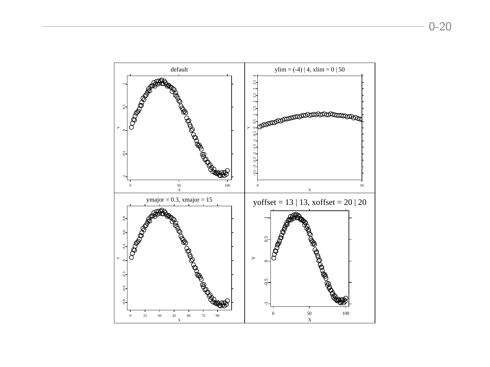